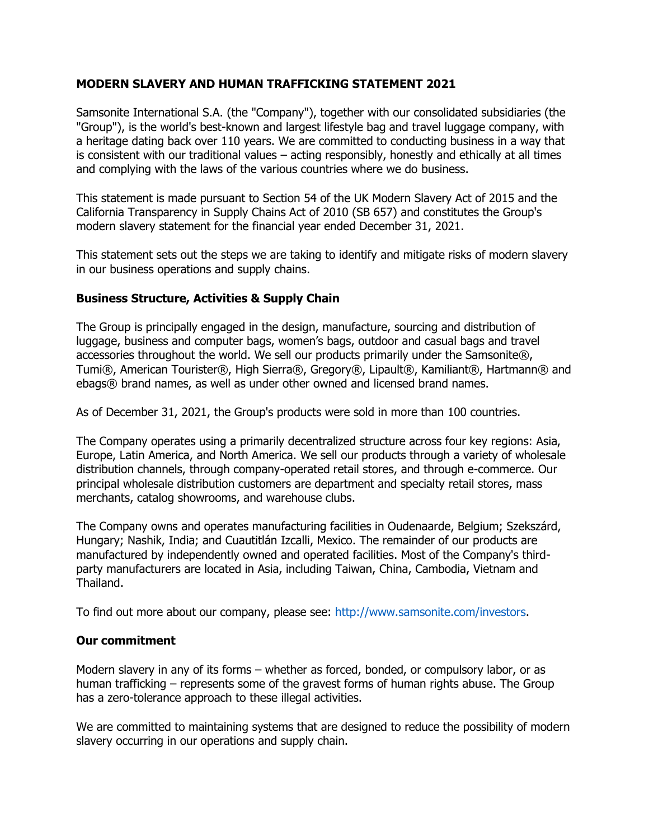## **MODERN SLAVERY AND HUMAN TRAFFICKING STATEMENT 2021**

Samsonite International S.A. (the "Company"), together with our consolidated subsidiaries (the "Group"), is the world's best-known and largest lifestyle bag and travel luggage company, with a heritage dating back over 110 years. We are committed to conducting business in a way that is consistent with our traditional values – acting responsibly, honestly and ethically at all times and complying with the laws of the various countries where we do business.

This statement is made pursuant to Section 54 of the UK Modern Slavery Act of 2015 and the California Transparency in Supply Chains Act of 2010 (SB 657) and constitutes the Group's modern slavery statement for the financial year ended December 31, 2021.

This statement sets out the steps we are taking to identify and mitigate risks of modern slavery in our business operations and supply chains.

## **Business Structure, Activities & Supply Chain**

The Group is principally engaged in the design, manufacture, sourcing and distribution of luggage, business and computer bags, women's bags, outdoor and casual bags and travel accessories throughout the world. We sell our products primarily under the Samsonite®, Tumi®, American Tourister®, High Sierra®, Gregory®, Lipault®, Kamiliant®, Hartmann® and ebags® brand names, as well as under other owned and licensed brand names.

As of December 31, 2021, the Group's products were sold in more than 100 countries.

The Company operates using a primarily decentralized structure across four key regions: Asia, Europe, Latin America, and North America. We sell our products through a variety of wholesale distribution channels, through company-operated retail stores, and through e-commerce. Our principal wholesale distribution customers are department and specialty retail stores, mass merchants, catalog showrooms, and warehouse clubs.

The Company owns and operates manufacturing facilities in Oudenaarde, Belgium; Szekszárd, Hungary; Nashik, India; and Cuautitlán Izcalli, Mexico. The remainder of our products are manufactured by independently owned and operated facilities. Most of the Company's thirdparty manufacturers are located in Asia, including Taiwan, China, Cambodia, Vietnam and Thailand.

To find out more about our company, please see: http://www.samsonite.com/investors.

## **Our commitment**

Modern slavery in any of its forms – whether as forced, bonded, or compulsory labor, or as human trafficking – represents some of the gravest forms of human rights abuse. The Group has a zero-tolerance approach to these illegal activities.

We are committed to maintaining systems that are designed to reduce the possibility of modern slavery occurring in our operations and supply chain.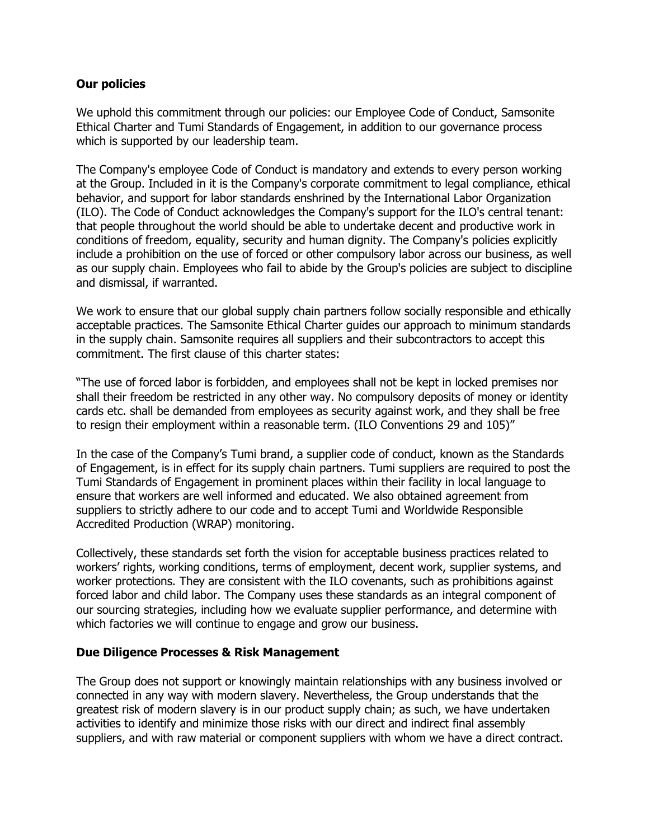## **Our policies**

We uphold this commitment through our policies: our Employee Code of Conduct, Samsonite Ethical Charter and Tumi Standards of Engagement, in addition to our governance process which is supported by our leadership team.

The Company's employee Code of Conduct is mandatory and extends to every person working at the Group. Included in it is the Company's corporate commitment to legal compliance, ethical behavior, and support for labor standards enshrined by the International Labor Organization (ILO). The Code of Conduct acknowledges the Company's support for the ILO's central tenant: that people throughout the world should be able to undertake decent and productive work in conditions of freedom, equality, security and human dignity. The Company's policies explicitly include a prohibition on the use of forced or other compulsory labor across our business, as well as our supply chain. Employees who fail to abide by the Group's policies are subject to discipline and dismissal, if warranted.

We work to ensure that our global supply chain partners follow socially responsible and ethically acceptable practices. The Samsonite Ethical Charter guides our approach to minimum standards in the supply chain. Samsonite requires all suppliers and their subcontractors to accept this commitment. The first clause of this charter states:

"The use of forced labor is forbidden, and employees shall not be kept in locked premises nor shall their freedom be restricted in any other way. No compulsory deposits of money or identity cards etc. shall be demanded from employees as security against work, and they shall be free to resign their employment within a reasonable term. (ILO Conventions 29 and 105)"

In the case of the Company's Tumi brand, a supplier code of conduct, known as the Standards of Engagement, is in effect for its supply chain partners. Tumi suppliers are required to post the Tumi Standards of Engagement in prominent places within their facility in local language to ensure that workers are well informed and educated. We also obtained agreement from suppliers to strictly adhere to our code and to accept Tumi and Worldwide Responsible Accredited Production (WRAP) monitoring.

Collectively, these standards set forth the vision for acceptable business practices related to workers' rights, working conditions, terms of employment, decent work, supplier systems, and worker protections. They are consistent with the ILO covenants, such as prohibitions against forced labor and child labor. The Company uses these standards as an integral component of our sourcing strategies, including how we evaluate supplier performance, and determine with which factories we will continue to engage and grow our business.

## **Due Diligence Processes & Risk Management**

The Group does not support or knowingly maintain relationships with any business involved or connected in any way with modern slavery. Nevertheless, the Group understands that the greatest risk of modern slavery is in our product supply chain; as such, we have undertaken activities to identify and minimize those risks with our direct and indirect final assembly suppliers, and with raw material or component suppliers with whom we have a direct contract.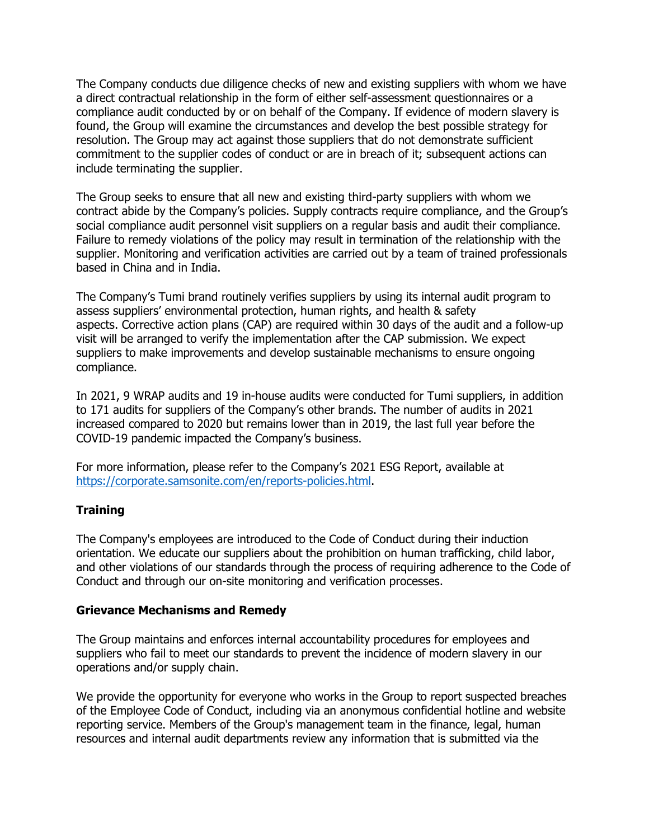The Company conducts due diligence checks of new and existing suppliers with whom we have a direct contractual relationship in the form of either self-assessment questionnaires or a compliance audit conducted by or on behalf of the Company. If evidence of modern slavery is found, the Group will examine the circumstances and develop the best possible strategy for resolution. The Group may act against those suppliers that do not demonstrate sufficient commitment to the supplier codes of conduct or are in breach of it; subsequent actions can include terminating the supplier.

The Group seeks to ensure that all new and existing third-party suppliers with whom we contract abide by the Company's policies. Supply contracts require compliance, and the Group's social compliance audit personnel visit suppliers on a regular basis and audit their compliance. Failure to remedy violations of the policy may result in termination of the relationship with the supplier. Monitoring and verification activities are carried out by a team of trained professionals based in China and in India.

The Company's Tumi brand routinely verifies suppliers by using its internal audit program to assess suppliers' environmental protection, human rights, and health & safety aspects. Corrective action plans (CAP) are required within 30 days of the audit and a follow-up visit will be arranged to verify the implementation after the CAP submission. We expect suppliers to make improvements and develop sustainable mechanisms to ensure ongoing compliance.

In 2021, 9 WRAP audits and 19 in-house audits were conducted for Tumi suppliers, in addition to 171 audits for suppliers of the Company's other brands. The number of audits in 2021 increased compared to 2020 but remains lower than in 2019, the last full year before the COVID-19 pandemic impacted the Company's business.

For more information, please refer to the Company's 2021 ESG Report, available at [https://corporate.samsonite.com/en/reports-policies.html.](https://corporate.samsonite.com/en/reports-policies.html)

# **Training**

The Company's employees are introduced to the Code of Conduct during their induction orientation. We educate our suppliers about the prohibition on human trafficking, child labor, and other violations of our standards through the process of requiring adherence to the Code of Conduct and through our on-site monitoring and verification processes.

## **Grievance Mechanisms and Remedy**

The Group maintains and enforces internal accountability procedures for employees and suppliers who fail to meet our standards to prevent the incidence of modern slavery in our operations and/or supply chain.

We provide the opportunity for everyone who works in the Group to report suspected breaches of the Employee Code of Conduct, including via an anonymous confidential hotline and website reporting service. Members of the Group's management team in the finance, legal, human resources and internal audit departments review any information that is submitted via the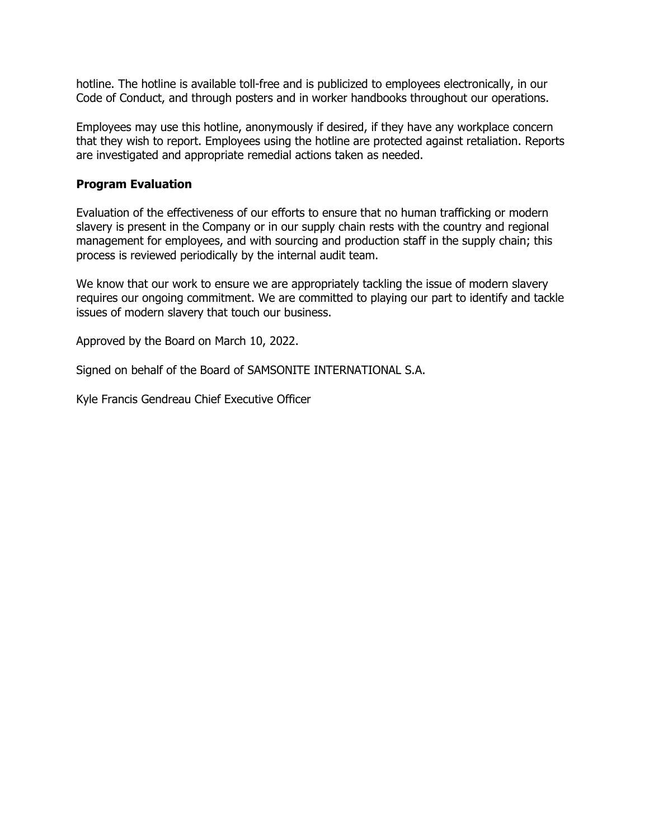hotline. The hotline is available toll-free and is publicized to employees electronically, in our Code of Conduct, and through posters and in worker handbooks throughout our operations.

Employees may use this hotline, anonymously if desired, if they have any workplace concern that they wish to report. Employees using the hotline are protected against retaliation. Reports are investigated and appropriate remedial actions taken as needed.

## **Program Evaluation**

Evaluation of the effectiveness of our efforts to ensure that no human trafficking or modern slavery is present in the Company or in our supply chain rests with the country and regional management for employees, and with sourcing and production staff in the supply chain; this process is reviewed periodically by the internal audit team.

We know that our work to ensure we are appropriately tackling the issue of modern slavery requires our ongoing commitment. We are committed to playing our part to identify and tackle issues of modern slavery that touch our business.

Approved by the Board on March 10, 2022.

Signed on behalf of the Board of SAMSONITE INTERNATIONAL S.A.

Kyle Francis Gendreau Chief Executive Officer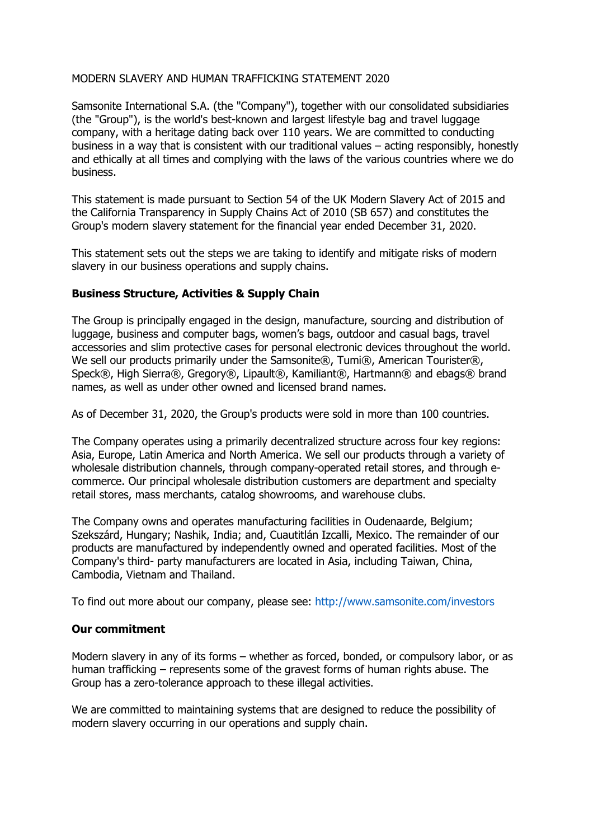## MODERN SLAVERY AND HUMAN TRAFFICKING STATEMENT 2020

Samsonite International S.A. (the "Company"), together with our consolidated subsidiaries (the "Group"), is the world's best-known and largest lifestyle bag and travel luggage company, with a heritage dating back over 110 years. We are committed to conducting business in a way that is consistent with our traditional values – acting responsibly, honestly and ethically at all times and complying with the laws of the various countries where we do business.

This statement is made pursuant to Section 54 of the UK Modern Slavery Act of 2015 and the California Transparency in Supply Chains Act of 2010 (SB 657) and constitutes the Group's modern slavery statement for the financial year ended December 31, 2020.

This statement sets out the steps we are taking to identify and mitigate risks of modern slavery in our business operations and supply chains.

## **Business Structure, Activities & Supply Chain**

The Group is principally engaged in the design, manufacture, sourcing and distribution of luggage, business and computer bags, women's bags, outdoor and casual bags, travel accessories and slim protective cases for personal electronic devices throughout the world. We sell our products primarily under the Samsonite®, Tumi®, American Tourister®, Speck®, High Sierra®, Gregory®, Lipault®, Kamiliant®, Hartmann® and ebags® brand names, as well as under other owned and licensed brand names.

As of December 31, 2020, the Group's products were sold in more than 100 countries.

The Company operates using a primarily decentralized structure across four key regions: Asia, Europe, Latin America and North America. We sell our products through a variety of wholesale distribution channels, through company-operated retail stores, and through ecommerce. Our principal wholesale distribution customers are department and specialty retail stores, mass merchants, catalog showrooms, and warehouse clubs.

The Company owns and operates manufacturing facilities in Oudenaarde, Belgium; Szekszárd, Hungary; Nashik, India; and, Cuautitlán Izcalli, Mexico. The remainder of our products are manufactured by independently owned and operated facilities. Most of the Company's third- party manufacturers are located in Asia, including Taiwan, China, Cambodia, Vietnam and Thailand.

To find out more about our company, please see: http://www.samsonite.com/investors

# **Our commitment**

Modern slavery in any of its forms – whether as forced, bonded, or compulsory labor, or as human trafficking – represents some of the gravest forms of human rights abuse. The Group has a zero-tolerance approach to these illegal activities.

We are committed to maintaining systems that are designed to reduce the possibility of modern slavery occurring in our operations and supply chain.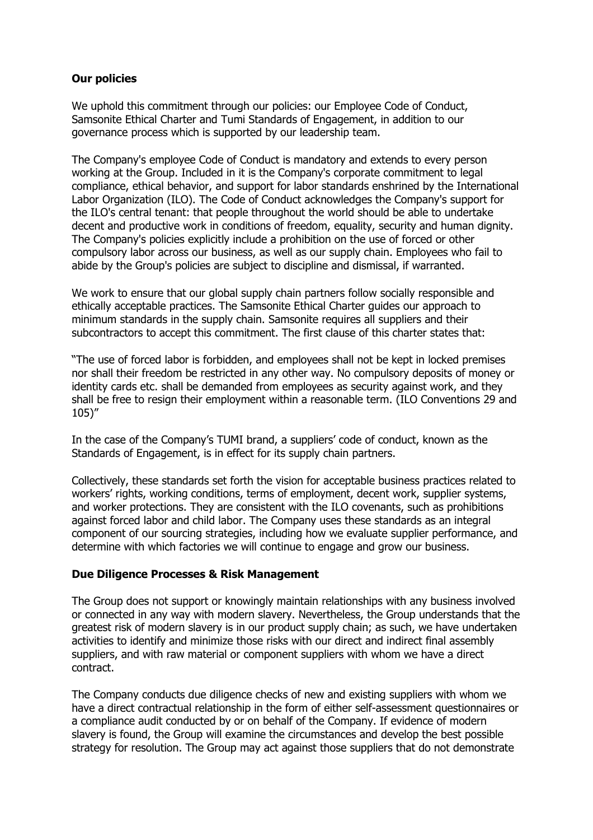# **Our policies**

We uphold this commitment through our policies: our Employee Code of Conduct, Samsonite Ethical Charter and Tumi Standards of Engagement, in addition to our governance process which is supported by our leadership team.

The Company's employee Code of Conduct is mandatory and extends to every person working at the Group. Included in it is the Company's corporate commitment to legal compliance, ethical behavior, and support for labor standards enshrined by the International Labor Organization (ILO). The Code of Conduct acknowledges the Company's support for the ILO's central tenant: that people throughout the world should be able to undertake decent and productive work in conditions of freedom, equality, security and human dignity. The Company's policies explicitly include a prohibition on the use of forced or other compulsory labor across our business, as well as our supply chain. Employees who fail to abide by the Group's policies are subject to discipline and dismissal, if warranted.

We work to ensure that our global supply chain partners follow socially responsible and ethically acceptable practices. The Samsonite Ethical Charter guides our approach to minimum standards in the supply chain. Samsonite requires all suppliers and their subcontractors to accept this commitment. The first clause of this charter states that:

"The use of forced labor is forbidden, and employees shall not be kept in locked premises nor shall their freedom be restricted in any other way. No compulsory deposits of money or identity cards etc. shall be demanded from employees as security against work, and they shall be free to resign their employment within a reasonable term. (ILO Conventions 29 and 105)"

In the case of the Company's TUMI brand, a suppliers' code of conduct, known as the Standards of Engagement, is in effect for its supply chain partners.

Collectively, these standards set forth the vision for acceptable business practices related to workers' rights, working conditions, terms of employment, decent work, supplier systems, and worker protections. They are consistent with the ILO covenants, such as prohibitions against forced labor and child labor. The Company uses these standards as an integral component of our sourcing strategies, including how we evaluate supplier performance, and determine with which factories we will continue to engage and grow our business.

## **Due Diligence Processes & Risk Management**

The Group does not support or knowingly maintain relationships with any business involved or connected in any way with modern slavery. Nevertheless, the Group understands that the greatest risk of modern slavery is in our product supply chain; as such, we have undertaken activities to identify and minimize those risks with our direct and indirect final assembly suppliers, and with raw material or component suppliers with whom we have a direct contract.

The Company conducts due diligence checks of new and existing suppliers with whom we have a direct contractual relationship in the form of either self-assessment questionnaires or a compliance audit conducted by or on behalf of the Company. If evidence of modern slavery is found, the Group will examine the circumstances and develop the best possible strategy for resolution. The Group may act against those suppliers that do not demonstrate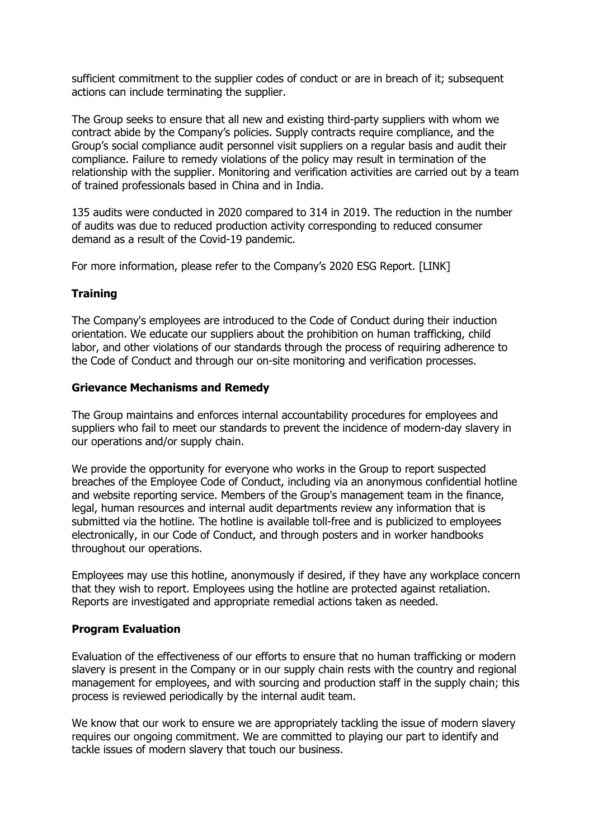sufficient commitment to the supplier codes of conduct or are in breach of it; subsequent actions can include terminating the supplier.

The Group seeks to ensure that all new and existing third-party suppliers with whom we contract abide by the Company's policies. Supply contracts require compliance, and the Group's social compliance audit personnel visit suppliers on a regular basis and audit their compliance. Failure to remedy violations of the policy may result in termination of the relationship with the supplier. Monitoring and verification activities are carried out by a team of trained professionals based in China and in India.

135 audits were conducted in 2020 compared to 314 in 2019. The reduction in the number of audits was due to reduced production activity corresponding to reduced consumer demand as a result of the Covid-19 pandemic.

For more information, please refer to the Company's 2020 ESG Report. [LINK]

## **Training**

The Company's employees are introduced to the Code of Conduct during their induction orientation. We educate our suppliers about the prohibition on human trafficking, child labor, and other violations of our standards through the process of requiring adherence to the Code of Conduct and through our on-site monitoring and verification processes.

## **Grievance Mechanisms and Remedy**

The Group maintains and enforces internal accountability procedures for employees and suppliers who fail to meet our standards to prevent the incidence of modern-day slavery in our operations and/or supply chain.

We provide the opportunity for everyone who works in the Group to report suspected breaches of the Employee Code of Conduct, including via an anonymous confidential hotline and website reporting service. Members of the Group's management team in the finance, legal, human resources and internal audit departments review any information that is submitted via the hotline. The hotline is available toll-free and is publicized to employees electronically, in our Code of Conduct, and through posters and in worker handbooks throughout our operations.

Employees may use this hotline, anonymously if desired, if they have any workplace concern that they wish to report. Employees using the hotline are protected against retaliation. Reports are investigated and appropriate remedial actions taken as needed.

# **Program Evaluation**

Evaluation of the effectiveness of our efforts to ensure that no human trafficking or modern slavery is present in the Company or in our supply chain rests with the country and regional management for employees, and with sourcing and production staff in the supply chain; this process is reviewed periodically by the internal audit team.

We know that our work to ensure we are appropriately tackling the issue of modern slavery requires our ongoing commitment. We are committed to playing our part to identify and tackle issues of modern slavery that touch our business.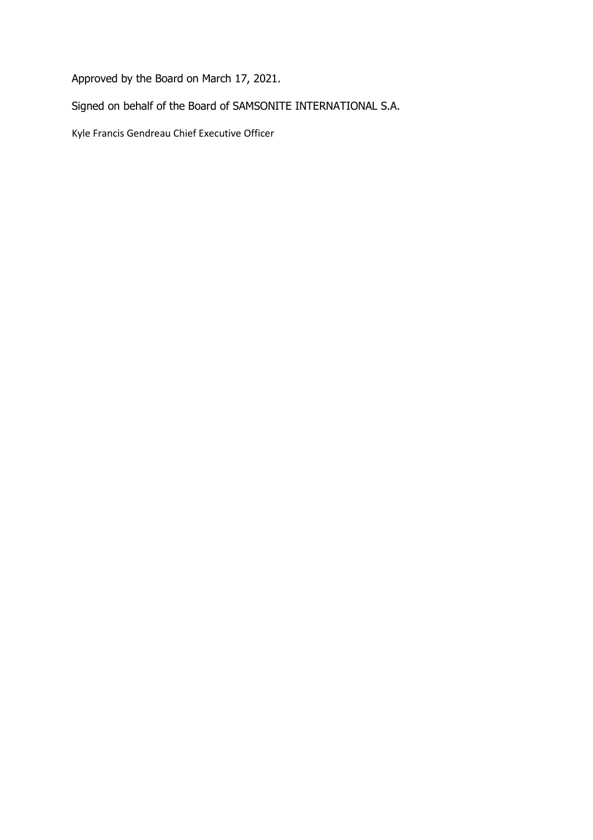Approved by the Board on March 17, 2021.

Signed on behalf of the Board of SAMSONITE INTERNATIONAL S.A.

Kyle Francis Gendreau Chief Executive Officer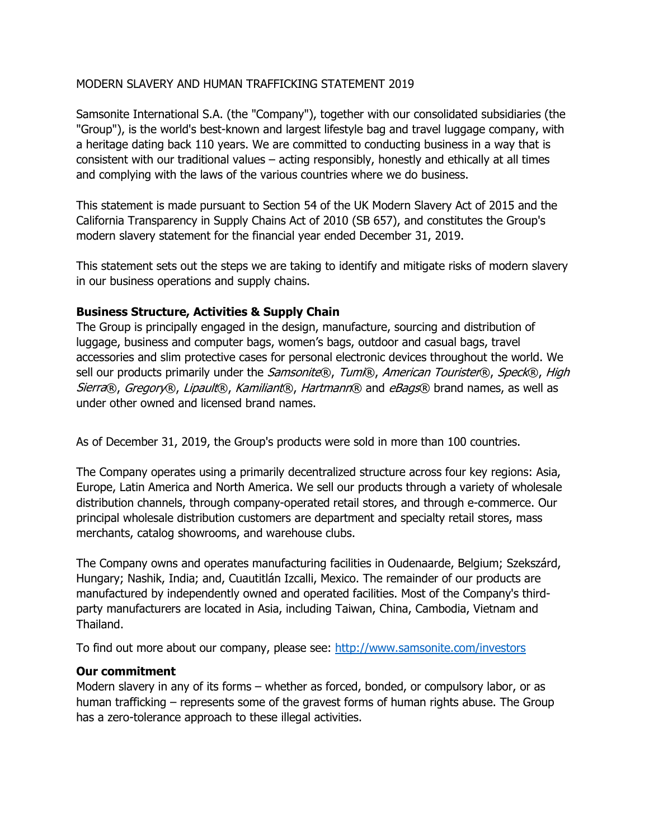## MODERN SLAVERY AND HUMAN TRAFFICKING STATEMENT 2019

Samsonite International S.A. (the "Company"), together with our consolidated subsidiaries (the "Group"), is the world's best-known and largest lifestyle bag and travel luggage company, with a heritage dating back 110 years. We are committed to conducting business in a way that is consistent with our traditional values – acting responsibly, honestly and ethically at all times and complying with the laws of the various countries where we do business.

This statement is made pursuant to Section 54 of the UK Modern Slavery Act of 2015 and the California Transparency in Supply Chains Act of 2010 (SB 657), and constitutes the Group's modern slavery statement for the financial year ended December 31, 2019.

This statement sets out the steps we are taking to identify and mitigate risks of modern slavery in our business operations and supply chains.

## **Business Structure, Activities & Supply Chain**

The Group is principally engaged in the design, manufacture, sourcing and distribution of luggage, business and computer bags, women's bags, outdoor and casual bags, travel accessories and slim protective cases for personal electronic devices throughout the world. We sell our products primarily under the Samsonite®, Tumi®, American Tourister®, Speck®, High Sierra®, Gregory®, Lipault®, Kamiliant®, Hartmann® and eBags® brand names, as well as under other owned and licensed brand names.

As of December 31, 2019, the Group's products were sold in more than 100 countries.

The Company operates using a primarily decentralized structure across four key regions: Asia, Europe, Latin America and North America. We sell our products through a variety of wholesale distribution channels, through company-operated retail stores, and through e-commerce. Our principal wholesale distribution customers are department and specialty retail stores, mass merchants, catalog showrooms, and warehouse clubs.

The Company owns and operates manufacturing facilities in Oudenaarde, Belgium; Szekszárd, Hungary; Nashik, India; and, Cuautitlán Izcalli, Mexico. The remainder of our products are manufactured by independently owned and operated facilities. Most of the Company's thirdparty manufacturers are located in Asia, including Taiwan, China, Cambodia, Vietnam and Thailand.

To find out more about our company, please see: [http://www.samsonite.com/investors](http://www.samsonite.com/investors%20;jsessionid=D232D978BFDDEC3E0604F6E5F13FF833) 

## **Our commitment**

Modern slavery in any of its forms – whether as forced, bonded, or compulsory labor, or as human trafficking – represents some of the gravest forms of human rights abuse. The Group has a zero-tolerance approach to these illegal activities.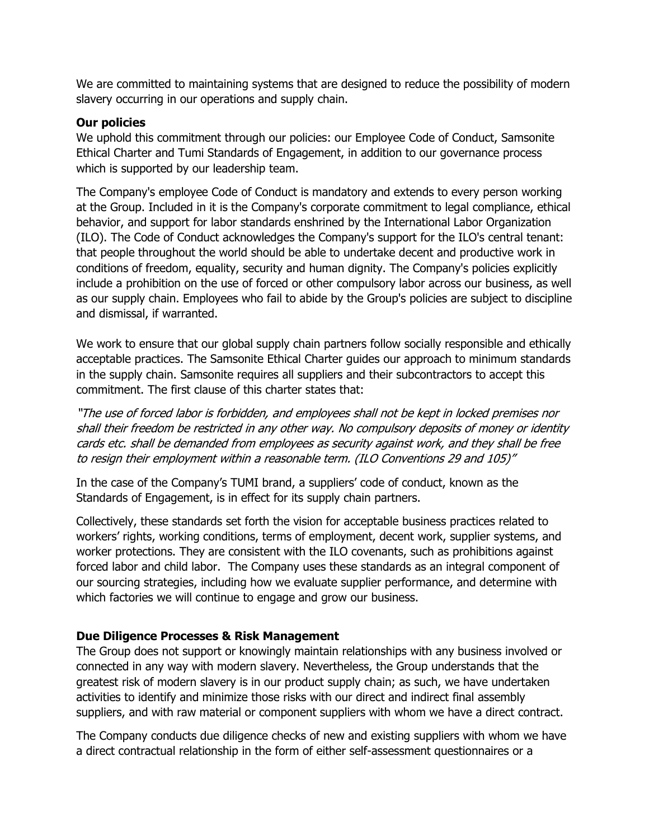We are committed to maintaining systems that are designed to reduce the possibility of modern slavery occurring in our operations and supply chain.

## **Our policies**

We uphold this commitment through our policies: our Employee Code of Conduct, Samsonite Ethical Charter and Tumi Standards of Engagement, in addition to our governance process which is supported by our leadership team.

The Company's employee Code of Conduct is mandatory and extends to every person working at the Group. Included in it is the Company's corporate commitment to legal compliance, ethical behavior, and support for labor standards enshrined by the International Labor Organization (ILO). The Code of Conduct acknowledges the Company's support for the ILO's central tenant: that people throughout the world should be able to undertake decent and productive work in conditions of freedom, equality, security and human dignity. The Company's policies explicitly include a prohibition on the use of forced or other compulsory labor across our business, as well as our supply chain. Employees who fail to abide by the Group's policies are subject to discipline and dismissal, if warranted.

We work to ensure that our global supply chain partners follow socially responsible and ethically acceptable practices. The Samsonite Ethical Charter guides our approach to minimum standards in the supply chain. Samsonite requires all suppliers and their subcontractors to accept this commitment. The first clause of this charter states that:

"The use of forced labor is forbidden, and employees shall not be kept in locked premises nor shall their freedom be restricted in any other way. No compulsory deposits of money or identity cards etc. shall be demanded from employees as security against work, and they shall be free to resign their employment within a reasonable term. (ILO Conventions 29 and 105)"

In the case of the Company's TUMI brand, a suppliers' code of conduct, known as the Standards of Engagement, is in effect for its supply chain partners.

Collectively, these standards set forth the vision for acceptable business practices related to workers' rights, working conditions, terms of employment, decent work, supplier systems, and worker protections. They are consistent with the ILO covenants, such as prohibitions against forced labor and child labor. The Company uses these standards as an integral component of our sourcing strategies, including how we evaluate supplier performance, and determine with which factories we will continue to engage and grow our business.

# **Due Diligence Processes & Risk Management**

The Group does not support or knowingly maintain relationships with any business involved or connected in any way with modern slavery. Nevertheless, the Group understands that the greatest risk of modern slavery is in our product supply chain; as such, we have undertaken activities to identify and minimize those risks with our direct and indirect final assembly suppliers, and with raw material or component suppliers with whom we have a direct contract.

The Company conducts due diligence checks of new and existing suppliers with whom we have a direct contractual relationship in the form of either self-assessment questionnaires or a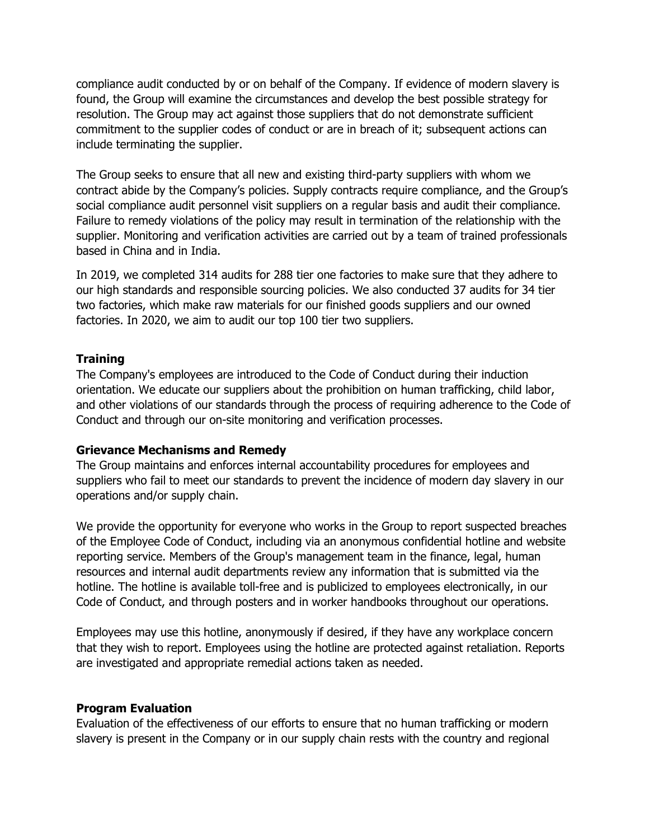compliance audit conducted by or on behalf of the Company. If evidence of modern slavery is found, the Group will examine the circumstances and develop the best possible strategy for resolution. The Group may act against those suppliers that do not demonstrate sufficient commitment to the supplier codes of conduct or are in breach of it; subsequent actions can include terminating the supplier.

The Group seeks to ensure that all new and existing third-party suppliers with whom we contract abide by the Company's policies. Supply contracts require compliance, and the Group's social compliance audit personnel visit suppliers on a regular basis and audit their compliance. Failure to remedy violations of the policy may result in termination of the relationship with the supplier. Monitoring and verification activities are carried out by a team of trained professionals based in China and in India.

In 2019, we completed 314 audits for 288 tier one factories to make sure that they adhere to our high standards and responsible sourcing policies. We also conducted 37 audits for 34 tier two factories, which make raw materials for our finished goods suppliers and our owned factories. In 2020, we aim to audit our top 100 tier two suppliers.

#### **Training**

The Company's employees are introduced to the Code of Conduct during their induction orientation. We educate our suppliers about the prohibition on human trafficking, child labor, and other violations of our standards through the process of requiring adherence to the Code of Conduct and through our on-site monitoring and verification processes.

#### **Grievance Mechanisms and Remedy**

The Group maintains and enforces internal accountability procedures for employees and suppliers who fail to meet our standards to prevent the incidence of modern day slavery in our operations and/or supply chain.

We provide the opportunity for everyone who works in the Group to report suspected breaches of the Employee Code of Conduct, including via an anonymous confidential hotline and website reporting service. Members of the Group's management team in the finance, legal, human resources and internal audit departments review any information that is submitted via the hotline. The hotline is available toll-free and is publicized to employees electronically, in our Code of Conduct, and through posters and in worker handbooks throughout our operations.

Employees may use this hotline, anonymously if desired, if they have any workplace concern that they wish to report. Employees using the hotline are protected against retaliation. Reports are investigated and appropriate remedial actions taken as needed.

#### **Program Evaluation**

Evaluation of the effectiveness of our efforts to ensure that no human trafficking or modern slavery is present in the Company or in our supply chain rests with the country and regional